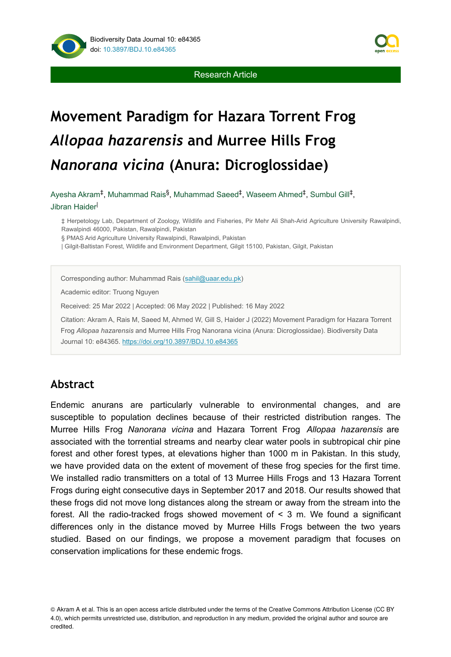



# **Movement Paradigm for Hazara Torrent Frog**  *Allopaa hazarensis* **and Murree Hills Frog**  *Nanorana vicina* **(Anura: Dicroglossidae)**

Ayesha Akram<sup>‡</sup>, Muhammad Rais<sup>§</sup>, Muhammad Saeed<sup>‡</sup>, Waseem Ahmed<sup>‡</sup>, Sumbul Gill<sup>‡</sup>, Jibran Haider<sup>l</sup>

‡ Herpetology Lab, Department of Zoology, Wildlife and Fisheries, Pir Mehr Ali Shah-Arid Agriculture University Rawalpindi, Rawalpindi 46000, Pakistan, Rawalpindi, Pakistan

§ PMAS Arid Agriculture University Rawalpindi, Rawalpindi, Pakistan

| Gilgit-Baltistan Forest, Wildlife and Environment Department, Gilgit 15100, Pakistan, Gilgit, Pakistan

Corresponding author: Muhammad Rais ([sahil@uaar.edu.pk\)](mailto:sahil@uaar.edu.pk)

Academic editor: Truong Nguyen

Received: 25 Mar 2022 | Accepted: 06 May 2022 | Published: 16 May 2022

Citation: Akram A, Rais M, Saeed M, Ahmed W, Gill S, Haider J (2022) Movement Paradigm for Hazara Torrent Frog *Allopaa hazarensis* and Murree Hills Frog Nanorana vicina (Anura: Dicroglossidae). Biodiversity Data Journal 10: e84365. <https://doi.org/10.3897/BDJ.10.e84365>

# **Abstract**

Endemic anurans are particularly vulnerable to environmental changes, and are susceptible to population declines because of their restricted distribution ranges. The Murree Hills Frog *Nanorana vicina* and Hazara Torrent Frog *Allopaa hazarensis* are associated with the torrential streams and nearby clear water pools in subtropical chir pine forest and other forest types, at elevations higher than 1000 m in Pakistan. In this study, we have provided data on the extent of movement of these frog species for the first time. We installed radio transmitters on a total of 13 Murree Hills Frogs and 13 Hazara Torrent Frogs during eight consecutive days in September 2017 and 2018. Our results showed that these frogs did not move long distances along the stream or away from the stream into the forest. All the radio-tracked frogs showed movement of < 3 m. We found a significant differences only in the distance moved by Murree Hills Frogs between the two years studied. Based on our findings, we propose a movement paradigm that focuses on conservation implications for these endemic frogs.

<sup>©</sup> Akram A et al. This is an open access article distributed under the terms of the Creative Commons Attribution License (CC BY 4.0), which permits unrestricted use, distribution, and reproduction in any medium, provided the original author and source are credited.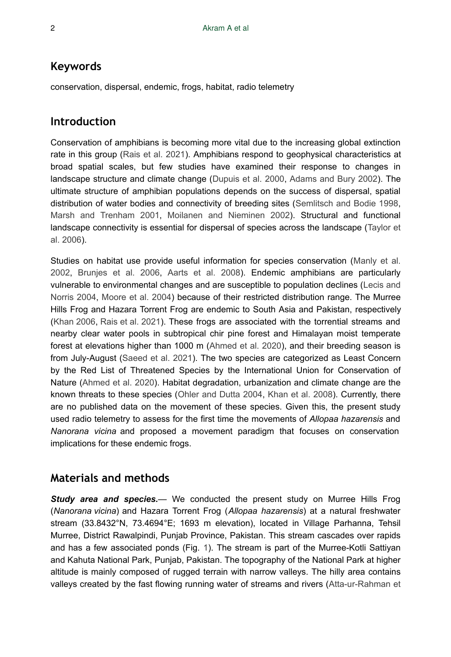## **Keywords**

conservation, dispersal, endemic, frogs, habitat, radio telemetry

## **Introduction**

Conservation of amphibians is becoming more vital due to the increasing global extinction rate in this group [\(Rais et al. 2021\)](#page-9-0). Amphibians respond to geophysical characteristics at broad spatial scales, but few studies have examined their response to changes in landscape structure and climate change [\(Dupuis et al. 2000,](#page-8-0) [Adams and Bury 2002](#page-8-1)). The ultimate structure of amphibian populations depends on the success of dispersal, spatial distribution of water bodies and connectivity of breeding sites [\(Semlitsch and Bodie 1998,](#page-9-1) [Marsh and Trenham 2001](#page-9-2), [Moilanen and Nieminen 2002](#page-9-3)). Structural and functional landscape connectivity is essential for dispersal of species across the landscape ([Taylor et](#page-10-0) [al. 2006](#page-10-0)).

Studies on habitat use provide useful information for species conservation [\(Manly et al.](#page-9-4) [2002](#page-9-4), [Brunjes et al. 2006,](#page-8-2) [Aarts et al. 2008](#page-8-3)). Endemic amphibians are particularly vulnerable to environmental changes and are susceptible to population declines ([Lecis and](#page-9-5) [Norris 2004,](#page-9-5) [Moore et al. 2004\)](#page-9-6) because of their restricted distribution range. The Murree Hills Frog and Hazara Torrent Frog are endemic to South Asia and Pakistan, respectively [\(Khan 2006,](#page-8-4) [Rais et al. 2021\)](#page-9-0). These frogs are associated with the torrential streams and nearby clear water pools in subtropical chir pine forest and Himalayan moist temperate forest at elevations higher than 1000 m ([Ahmed et al. 2020\)](#page-8-5), and their breeding season is from July-August ([Saeed et al. 2021](#page-9-7)). The two species are categorized as Least Concern by the Red List of Threatened Species by the International Union for Conservation of Nature [\(Ahmed et al. 2020\)](#page-8-5). Habitat degradation, urbanization and climate change are the known threats to these species [\(Ohler and Dutta 2004](#page-9-8), [Khan et al. 2008\)](#page-9-9). Currently, there are no published data on the movement of these species. Given this, the present study used radio telemetry to assess for the first time the movements of *Allopaa hazarensis* and *Nanorana vicina* and proposed a movement paradigm that focuses on conservation implications for these endemic frogs.

# **Materials and methods**

*Study area and species.*— We conducted the present study on Murree Hills Frog (*Nanorana vicina*) and Hazara Torrent Frog (*Allopaa hazarensis*) at a natural freshwater stream (33.8432°N, 73.4694°E; 1693 m elevation), located in Village Parhanna, Tehsil Murree, District Rawalpindi, Punjab Province, Pakistan. This stream cascades over rapids and has a few associated ponds (Fig. [1\)](#page-2-0). The stream is part of the Murree-Kotli Sattiyan and Kahuta National Park, Punjab, Pakistan. The topography of the National Park at higher altitude is mainly composed of rugged terrain with narrow valleys. The hilly area contains valleys created by the fast flowing running water of streams and rivers ([Atta-ur-Rahman et](#page-8-6)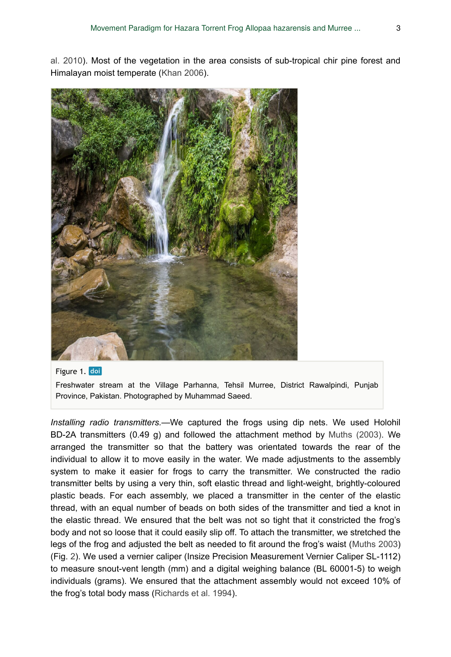[al. 2010\)](#page-8-6). Most of the vegetation in the area consists of sub-tropical chir pine forest and Himalayan moist temperate [\(Khan 2006](#page-8-4)).

<span id="page-2-0"></span>

Figure 1. doi

Freshwater stream at the Village Parhanna, Tehsil Murree, District Rawalpindi, Punjab Province, Pakistan. Photographed by Muhammad Saeed.

*Installing radio transmitters.*—We captured the frogs using dip nets. We used Holohil BD-2A transmitters (0.49 g) and followed the attachment method by [Muths \(2003\)](#page-9-10). We arranged the transmitter so that the battery was orientated towards the rear of the individual to allow it to move easily in the water. We made adjustments to the assembly system to make it easier for frogs to carry the transmitter. We constructed the radio transmitter belts by using a very thin, soft elastic thread and light-weight, brightly-coloured plastic beads. For each assembly, we placed a transmitter in the center of the elastic thread, with an equal number of beads on both sides of the transmitter and tied a knot in the elastic thread. We ensured that the belt was not so tight that it constricted the frog's body and not so loose that it could easily slip off. To attach the transmitter, we stretched the legs of the frog and adjusted the belt as needed to fit around the frog's waist ([Muths 2003](#page-9-10)) (Fig. [2](#page-3-0)). We used a vernier caliper (Insize Precision Measurement Vernier Caliper SL-1112) to measure snout-vent length (mm) and a digital weighing balance (BL 60001-5) to weigh individuals (grams). We ensured that the attachment assembly would not exceed 10% of the frog's total body mass [\(Richards et al. 1994](#page-9-11)).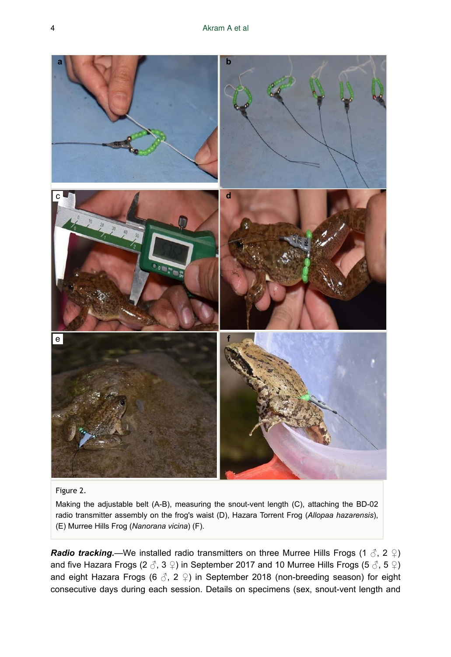<span id="page-3-0"></span>

#### Figure 2.

Making the adjustable belt (A-B), measuring the snout-vent length (C), attaching the BD-02 radio transmitter assembly on the frog's waist (D), Hazara Torrent Frog (*Allopaa hazarensis*), (E) Murree Hills Frog (*Nanorana vicina*) (F).

*Radio tracking.*—We installed radio transmitters on three Murree Hills Frogs (1  $\delta$ , 2  $\Omega$ ) and five Hazara Frogs (2  $\delta$ , 3  $\circ$ ) in September 2017 and 10 Murree Hills Frogs (5  $\delta$ , 5  $\circ$ ) and eight Hazara Frogs (6  $\Im$ , 2  $\Im$ ) in September 2018 (non-breeding season) for eight consecutive days during each session. Details on specimens (sex, snout-vent length and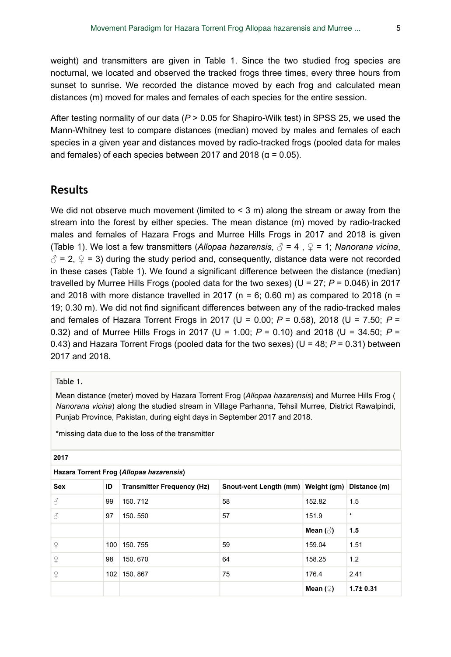weight) and transmitters are given in Table 1. Since the two studied frog species are nocturnal, we located and observed the tracked frogs three times, every three hours from sunset to sunrise. We recorded the distance moved by each frog and calculated mean distances (m) moved for males and females of each species for the entire session.

After testing normality of our data (*P* > 0.05 for Shapiro-Wilk test) in SPSS 25, we used the Mann-Whitney test to compare distances (median) moved by males and females of each species in a given year and distances moved by radio-tracked frogs (pooled data for males and females) of each species between 2017 and 2018 ( $\alpha$  = 0.05).

#### **Results**

We did not observe much movement (limited to  $\leq$  3 m) along the stream or away from the stream into the forest by either species. The mean distance (m) moved by radio-tracked males and females of Hazara Frogs and Murree Hills Frogs in 2017 and 2018 is given (Table [1\)](#page-4-0). We lost a few transmitters (*Allopaa hazarensis*, ♂ = 4 , ♀ = 1; *Nanorana vicina*,  $\beta$  = 2,  $\Omega$  = 3) during the study period and, consequently, distance data were not recorded in these cases (Table [1\)](#page-4-0). We found a significant difference between the distance (median) travelled by Murree Hills Frogs (pooled data for the two sexes) (U = 27; *P* = 0.046) in 2017 and 2018 with more distance travelled in 2017 ( $n = 6$ ; 0.60 m) as compared to 2018 ( $n =$ 19; 0.30 m). We did not find significant differences between any of the radio-tracked males and females of Hazara Torrent Frogs in 2017 (U = 0.00; *P* = 0.58), 2018 (U = 7.50; *P* = 0.32) and of Murree Hills Frogs in 2017 (U = 1.00; *P* = 0.10) and 2018 (U = 34.50; *P* = 0.43) and Hazara Torrent Frogs (pooled data for the two sexes) (U = 48; *P* = 0.31) between 2017 and 2018.

#### <span id="page-4-0"></span>Table 1.

Mean distance (meter) moved by Hazara Torrent Frog (*Allopaa hazarensis*) and Murree Hills Frog ( *Nanorana vicina*) along the studied stream in Village Parhanna, Tehsil Murree, District Rawalpindi, Punjab Province, Pakistan, during eight days in September 2017 and 2018.

\*missing data due to the loss of the transmitter

| Hazara Torrent Frog (Allopaa hazarensis) |     |                                   |                                                 |                         |                |  |  |  |  |  |
|------------------------------------------|-----|-----------------------------------|-------------------------------------------------|-------------------------|----------------|--|--|--|--|--|
| <b>Sex</b>                               | ID  | <b>Transmitter Frequency (Hz)</b> | Snout-vent Length (mm) Weight (gm) Distance (m) |                         |                |  |  |  |  |  |
| 8                                        | 99  | 150.712                           | 58                                              | 152.82                  | 1.5            |  |  |  |  |  |
| 3                                        | 97  | 150.550                           | 57                                              | 151.9                   | $\star$        |  |  |  |  |  |
|                                          |     |                                   |                                                 | Mean $(\textcircled{})$ | 1.5            |  |  |  |  |  |
| ¥                                        | 100 | 150.755                           | 59                                              | 159.04                  | 1.51           |  |  |  |  |  |
| ¥                                        | 98  | 150, 670                          | 64                                              | 158.25                  | 1.2            |  |  |  |  |  |
| ¥                                        | 102 | 150, 867                          | 75                                              | 176.4                   | 2.41           |  |  |  |  |  |
|                                          |     |                                   |                                                 | Mean $($ 2)             | $1.7 \pm 0.31$ |  |  |  |  |  |

**2017**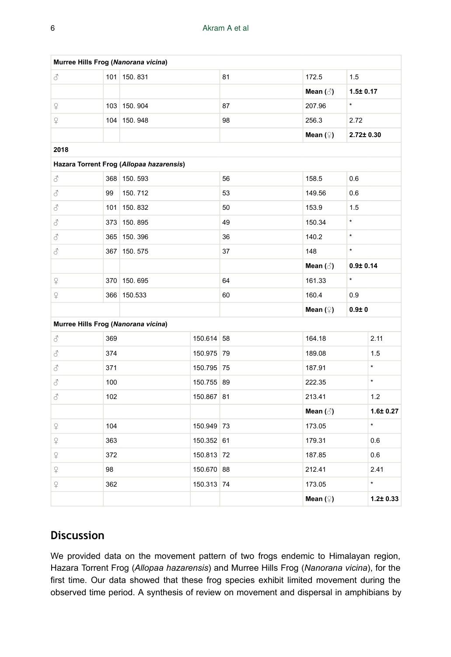| Murree Hills Frog (Nanorana vicina)      |     |             |            |            |                         |                 |                |  |  |  |  |  |  |
|------------------------------------------|-----|-------------|------------|------------|-------------------------|-----------------|----------------|--|--|--|--|--|--|
| 8                                        |     | 101 150.831 |            | 81         | 172.5                   | 1.5             |                |  |  |  |  |  |  |
|                                          |     |             |            |            | Mean $(\textcircled{})$ | $1.5 \pm 0.17$  |                |  |  |  |  |  |  |
| $\hbox{$\mathfrak{L}$}$                  |     | 103 150.904 |            | 87         | 207.96                  | $\star$         |                |  |  |  |  |  |  |
| $\mathsf{P}$                             |     | 104 150.948 |            | 98         | 256.3                   | 2.72            |                |  |  |  |  |  |  |
|                                          |     |             |            |            | Mean $($ $\hat{=}$ )    | $2.72 \pm 0.30$ |                |  |  |  |  |  |  |
| 2018                                     |     |             |            |            |                         |                 |                |  |  |  |  |  |  |
| Hazara Torrent Frog (Allopaa hazarensis) |     |             |            |            |                         |                 |                |  |  |  |  |  |  |
| 8                                        |     | 368 150.593 |            | 56         | 158.5                   | 0.6             |                |  |  |  |  |  |  |
| 8                                        | 99  | 150.712     |            | 53         | 149.56                  | 0.6             |                |  |  |  |  |  |  |
| 8                                        |     | 101 150.832 |            | 50         | 153.9                   | 1.5             |                |  |  |  |  |  |  |
| 8                                        |     | 373 150.895 |            | 49         | 150.34                  | $\star$         |                |  |  |  |  |  |  |
| 3                                        |     | 365 150.396 |            | 36         | 140.2                   | $\star$         |                |  |  |  |  |  |  |
| 8                                        |     | 367 150.575 |            | 37         | 148                     | $\star$         |                |  |  |  |  |  |  |
|                                          |     |             |            |            | Mean $(\text{A})$       | $0.9 + 0.14$    |                |  |  |  |  |  |  |
| ¥                                        |     | 370 150.695 |            | 64         | 161.33                  | $\star$         |                |  |  |  |  |  |  |
| ¥                                        |     | 366 150.533 |            | 60         | 160.4                   | 0.9             |                |  |  |  |  |  |  |
|                                          |     |             |            |            | Mean $($ $\hat{=}$ )    | 0.910           |                |  |  |  |  |  |  |
| Murree Hills Frog (Nanorana vicina)      |     |             |            |            |                         |                 |                |  |  |  |  |  |  |
| 8                                        | 369 |             |            | 150.614 58 | 164.18                  |                 | 2.11           |  |  |  |  |  |  |
| 8                                        | 374 |             | 150.975 79 |            | 189.08                  |                 | 1.5            |  |  |  |  |  |  |
| 8                                        | 371 |             | 150.795 75 |            | 187.91                  |                 | $\star$        |  |  |  |  |  |  |
| 3                                        | 100 |             | 150.755 89 |            | 222.35                  |                 | ×.             |  |  |  |  |  |  |
| 8                                        | 102 |             | 150.867 81 |            | 213.41                  |                 | 1.2            |  |  |  |  |  |  |
|                                          |     |             |            |            | Mean $(\textcircled{})$ |                 | $1.6 \pm 0.27$ |  |  |  |  |  |  |
| $\Omega$                                 | 104 |             | 150.949 73 |            | 173.05                  |                 | $\star$        |  |  |  |  |  |  |
| $\mathop{\mathbb Q}\nolimits$            | 363 |             | 150.352 61 |            | 179.31                  |                 | 0.6            |  |  |  |  |  |  |
| $\mathop{\mathbb Q}$                     | 372 |             |            | 150.813 72 | 187.85                  |                 | 0.6            |  |  |  |  |  |  |
| $\varphi$                                | 98  |             | 150.670 88 |            | 212.41                  |                 | 2.41           |  |  |  |  |  |  |
| $\varphi$                                | 362 |             |            | 150.313 74 | 173.05                  |                 | $\star$        |  |  |  |  |  |  |
|                                          |     |             |            |            | Mean $($ 2)             |                 | $1.2 \pm 0.33$ |  |  |  |  |  |  |

# **Discussion**

We provided data on the movement pattern of two frogs endemic to Himalayan region, Hazara Torrent Frog (*Allopaa hazarensis*) and Murree Hills Frog (*Nanorana vicina*), for the first time. Our data showed that these frog species exhibit limited movement during the observed time period. A synthesis of review on movement and dispersal in amphibians by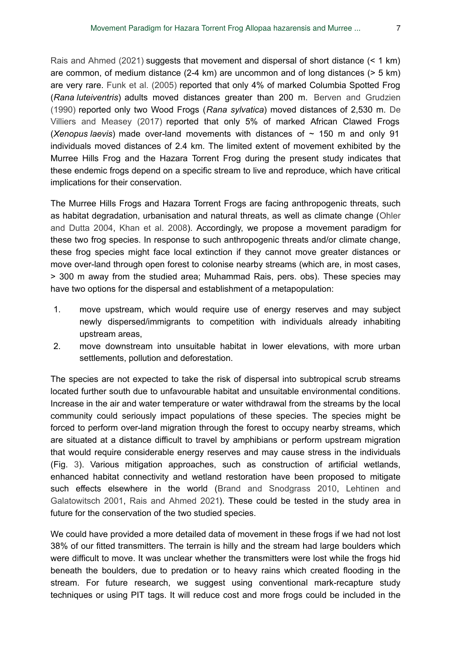[Rais and Ahmed \(2021\)](#page-9-12) suggests that movement and dispersal of short distance (< 1 km) are common, of medium distance (2-4 km) are uncommon and of long distances (> 5 km) are very rare. [Funk et al. \(2005\)](#page-8-7) reported that only 4% of marked Columbia Spotted Frog (*Rana luteiventris*) adults moved distances greater than 200 m. [Berven and Grudzien](#page-8-8) [\(1990\)](#page-8-8) reported only two Wood Frogs (*Rana sylvatica*) moved distances of 2,530 m. [De](#page-8-9) [Villiers and Measey \(2017\)](#page-8-9) reported that only 5% of marked African Clawed Frogs (*Xenopus laevis*) made over-land movements with distances of  $\sim$  150 m and only 91 individuals moved distances of 2.4 km. The limited extent of movement exhibited by the Murree Hills Frog and the Hazara Torrent Frog during the present study indicates that these endemic frogs depend on a specific stream to live and reproduce, which have critical implications for their conservation.

The Murree Hills Frogs and Hazara Torrent Frogs are facing anthropogenic threats, such as habitat degradation, urbanisation and natural threats, as well as climate change [\(Ohler](#page-9-8) [and Dutta 2004](#page-9-8), [Khan et al. 2008](#page-9-9)). Accordingly, we propose a movement paradigm for these two frog species. In response to such anthropogenic threats and/or climate change, these frog species might face local extinction if they cannot move greater distances or move over-land through open forest to colonise nearby streams (which are, in most cases, > 300 m away from the studied area; Muhammad Rais, pers. obs). These species may have two options for the dispersal and establishment of a metapopulation:

- 1. move upstream, which would require use of energy reserves and may subject newly dispersed/immigrants to competition with individuals already inhabiting upstream areas,
- 2. move downstream into unsuitable habitat in lower elevations, with more urban settlements, pollution and deforestation.

The species are not expected to take the risk of dispersal into subtropical scrub streams located further south due to unfavourable habitat and unsuitable environmental conditions. Increase in the air and water temperature or water withdrawal from the streams by the local community could seriously impact populations of these species. The species might be forced to perform over-land migration through the forest to occupy nearby streams, which are situated at a distance difficult to travel by amphibians or perform upstream migration that would require considerable energy reserves and may cause stress in the individuals (Fig. [3\)](#page-7-0). Various mitigation approaches, such as construction of artificial wetlands, enhanced habitat connectivity and wetland restoration have been proposed to mitigate such effects elsewhere in the world ([Brand and Snodgrass 2010,](#page-8-10) [Lehtinen and](#page-9-13) [Galatowitsch 2001,](#page-9-13) [Rais and Ahmed 2021](#page-9-12)). These could be tested in the study area in future for the conservation of the two studied species.

We could have provided a more detailed data of movement in these frogs if we had not lost 38% of our fitted transmitters. The terrain is hilly and the stream had large boulders which were difficult to move. It was unclear whether the transmitters were lost while the frogs hid beneath the boulders, due to predation or to heavy rains which created flooding in the stream. For future research, we suggest using conventional mark-recapture study techniques or using PIT tags. It will reduce cost and more frogs could be included in the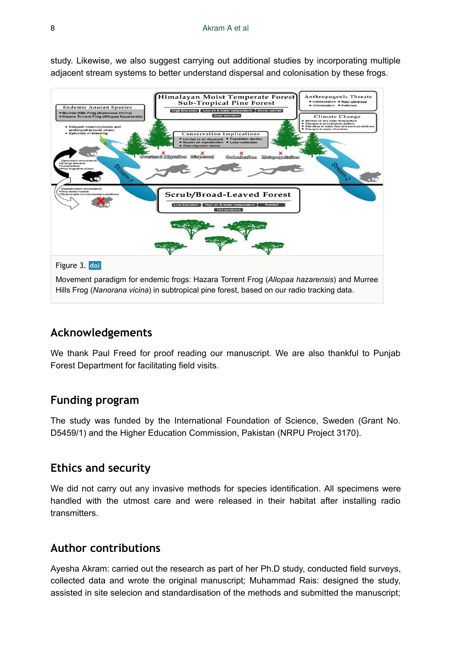study. Likewise, we also suggest carrying out additional studies by incorporating multiple adjacent stream systems to better understand dispersal and colonisation by these frogs.

<span id="page-7-0"></span>

## **Acknowledgements**

We thank Paul Freed for proof reading our manuscript. We are also thankful to Punjab Forest Department for facilitating field visits.

# **Funding program**

The study was funded by the International Foundation of Science, Sweden (Grant No. D5459/1) and the Higher Education Commission, Pakistan (NRPU Project 3170).

#### **Ethics and security**

We did not carry out any invasive methods for species identification. All specimens were handled with the utmost care and were released in their habitat after installing radio transmitters.

# **Author contributions**

Ayesha Akram: carried out the research as part of her Ph.D study, conducted field surveys, collected data and wrote the original manuscript; Muhammad Rais: designed the study, assisted in site selecion and standardisation of the methods and submitted the manuscript;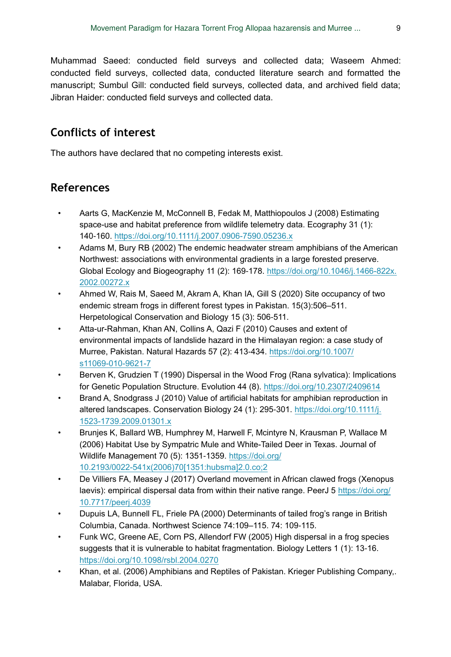Muhammad Saeed: conducted field surveys and collected data; Waseem Ahmed: conducted field surveys, collected data, conducted literature search and formatted the manuscript; Sumbul Gill: conducted field surveys, collected data, and archived field data; Jibran Haider: conducted field surveys and collected data.

# **Conflicts of interest**

The authors have declared that no competing interests exist.

# **References**

- <span id="page-8-3"></span>• Aarts G, MacKenzie M, McConnell B, Fedak M, Matthiopoulos J (2008) Estimating space-use and habitat preference from wildlife telemetry data. Ecography 31 (1): 140‑160. <https://doi.org/10.1111/j.2007.0906-7590.05236.x>
- <span id="page-8-1"></span>• Adams M, Bury RB (2002) The endemic headwater stream amphibians of the American Northwest: associations with environmental gradients in a large forested preserve. Global Ecology and Biogeography 11 (2): 169‑178. [https://doi.org/10.1046/j.1466-822x.](https://doi.org/10.1046/j.1466-822x.2002.00272.x) [2002.00272.x](https://doi.org/10.1046/j.1466-822x.2002.00272.x)
- <span id="page-8-5"></span>• Ahmed W, Rais M, Saeed M, Akram A, Khan IA, Gill S (2020) Site occupancy of two endemic stream frogs in different forest types in Pakistan. 15(3):506–511. Herpetological Conservation and Biology 15 (3): 506‑511.
- <span id="page-8-6"></span>• Atta-ur-Rahman, Khan AN, Collins A, Qazi F (2010) Causes and extent of environmental impacts of landslide hazard in the Himalayan region: a case study of Murree, Pakistan. Natural Hazards 57 (2): 413‑434. [https://doi.org/10.1007/](https://doi.org/10.1007/s11069-010-9621-7) [s11069-010-9621-7](https://doi.org/10.1007/s11069-010-9621-7)
- <span id="page-8-8"></span>• Berven K, Grudzien T (1990) Dispersal in the Wood Frog (Rana sylvatica): Implications for Genetic Population Structure. Evolution 44 (8). <https://doi.org/10.2307/2409614>
- <span id="page-8-10"></span>• Brand A, Snodgrass J (2010) Value of artificial habitats for amphibian reproduction in altered landscapes. Conservation Biology 24 (1): 295-301. [https://doi.org/10.1111/j.](https://doi.org/10.1111/j.1523-1739.2009.01301.x) [1523-1739.2009.01301.x](https://doi.org/10.1111/j.1523-1739.2009.01301.x)
- <span id="page-8-2"></span>• Brunjes K, Ballard WB, Humphrey M, Harwell F, Mcintyre N, Krausman P, Wallace M (2006) Habitat Use by Sympatric Mule and White-Tailed Deer in Texas. Journal of Wildlife Management 70 (5): 1351-1359. [https://doi.org/](https://doi.org/10.2193/0022-541x(2006)70%5B1351:hubsma%5D2.0.co;2) [10.2193/0022-541x\(2006\)70\[1351:hubsma\]2.0.co;2](https://doi.org/10.2193/0022-541x(2006)70%5B1351:hubsma%5D2.0.co;2)
- <span id="page-8-9"></span>• De Villiers FA, Measey J (2017) Overland movement in African clawed frogs (Xenopus laevis): empirical dispersal data from within their native range. PeerJ 5 [https://doi.org/](https://doi.org/10.7717/peerj.4039) [10.7717/peerj.4039](https://doi.org/10.7717/peerj.4039)
- <span id="page-8-0"></span>• Dupuis LA, Bunnell FL, Friele PA (2000) Determinants of tailed frog's range in British Columbia, Canada. Northwest Science 74:109–115. 74: 109‑115.
- <span id="page-8-7"></span>• Funk WC, Greene AE, Corn PS, Allendorf FW (2005) High dispersal in a frog species suggests that it is vulnerable to habitat fragmentation. Biology Letters 1 (1): 13‑16. <https://doi.org/10.1098/rsbl.2004.0270>
- <span id="page-8-4"></span>• Khan, et al. (2006) Amphibians and Reptiles of Pakistan. Krieger Publishing Company,. Malabar, Florida, USA.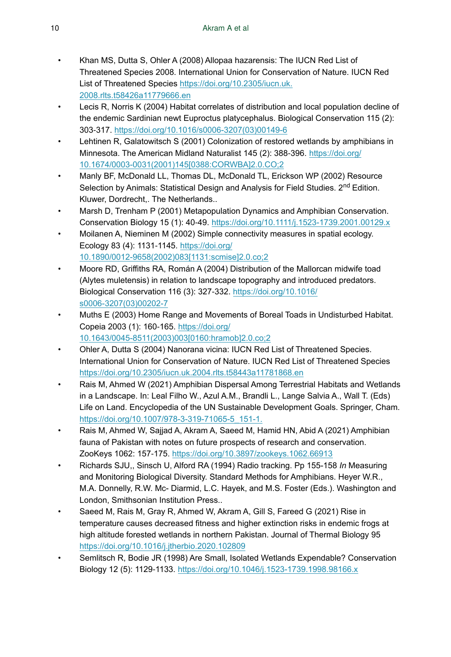- <span id="page-9-9"></span>• Khan MS, Dutta S, Ohler A (2008) Allopaa hazarensis: The IUCN Red List of Threatened Species 2008. International Union for Conservation of Nature. IUCN Red List of Threatened Species [https://doi.org/10.2305/iucn.uk.](https://doi.org/10.2305/iucn.uk.2008.rlts.t58426a11779666.en) [2008.rlts.t58426a11779666.en](https://doi.org/10.2305/iucn.uk.2008.rlts.t58426a11779666.en)
- <span id="page-9-5"></span>• Lecis R, Norris K (2004) Habitat correlates of distribution and local population decline of the endemic Sardinian newt Euproctus platycephalus. Biological Conservation 115 (2): 303‑317. [https://doi.org/10.1016/s0006-3207\(03\)00149-6](https://doi.org/10.1016/s0006-3207(03)00149-6)
- <span id="page-9-13"></span>• Lehtinen R, Galatowitsch S (2001) Colonization of restored wetlands by amphibians in Minnesota. The American Midland Naturalist 145 (2): 388-396. [https://doi.org/](https://doi.org/10.1674/0003-0031(2001)145%5B0388:CORWBA%5D2.0.CO;2) [10.1674/0003-0031\(2001\)145\[0388:CORWBA\]2.0.CO;2](https://doi.org/10.1674/0003-0031(2001)145%5B0388:CORWBA%5D2.0.CO;2)
- <span id="page-9-4"></span>• Manly BF, McDonald LL, Thomas DL, McDonald TL, Erickson WP (2002) Resource Selection by Animals: Statistical Design and Analysis for Field Studies. 2<sup>nd</sup> Edition. Kluwer, Dordrecht,. The Netherlands..
- <span id="page-9-2"></span>• Marsh D, Trenham P (2001) Metapopulation Dynamics and Amphibian Conservation. Conservation Biology 15 (1): 40‑49.<https://doi.org/10.1111/j.1523-1739.2001.00129.x>
- <span id="page-9-3"></span>• Moilanen A, Nieminen M (2002) Simple connectivity measures in spatial ecology. Ecology 83 (4): 1131‑1145. [https://doi.org/](https://doi.org/10.1890/0012-9658(2002)083%5B1131:scmise%5D2.0.co;2) [10.1890/0012-9658\(2002\)083\[1131:scmise\]2.0.co;2](https://doi.org/10.1890/0012-9658(2002)083%5B1131:scmise%5D2.0.co;2)
- <span id="page-9-6"></span>• Moore RD, Griffiths RA, Román A (2004) Distribution of the Mallorcan midwife toad (Alytes muletensis) in relation to landscape topography and introduced predators. Biological Conservation 116 (3): 327‑332. [https://doi.org/10.1016/](https://doi.org/10.1016/s0006-3207(03)00202-7) [s0006-3207\(03\)00202-7](https://doi.org/10.1016/s0006-3207(03)00202-7)
- <span id="page-9-10"></span>• Muths E (2003) Home Range and Movements of Boreal Toads in Undisturbed Habitat. Copeia 2003 (1): 160‑165. [https://doi.org/](https://doi.org/10.1643/0045-8511(2003)003%5B0160:hramob%5D2.0.co;2) [10.1643/0045-8511\(2003\)003\[0160:hramob\]2.0.co;2](https://doi.org/10.1643/0045-8511(2003)003%5B0160:hramob%5D2.0.co;2)
- <span id="page-9-8"></span>• Ohler A, Dutta S (2004) Nanorana vicina: IUCN Red List of Threatened Species. International Union for Conservation of Nature. IUCN Red List of Threatened Species <https://doi.org/10.2305/iucn.uk.2004.rlts.t58443a11781868.en>
- <span id="page-9-12"></span>• Rais M, Ahmed W (2021) Amphibian Dispersal Among Terrestrial Habitats and Wetlands in a Landscape. In: Leal Filho W., Azul A.M., Brandli L., Lange Salvia A., Wall T. (Eds) Life on Land. Encyclopedia of the UN Sustainable Development Goals. Springer, Cham. [https://doi.org/10.1007/978-3-319-71065-5\\_151-1.](https://doi.org/10.1007/978-3-319-71065-5_151-1.)
- <span id="page-9-0"></span>• Rais M, Ahmed W, Sajjad A, Akram A, Saeed M, Hamid HN, Abid A (2021) Amphibian fauna of Pakistan with notes on future prospects of research and conservation. ZooKeys 1062: 157‑175.<https://doi.org/10.3897/zookeys.1062.66913>
- <span id="page-9-11"></span>• Richards SJU,, Sinsch U, Alford RA (1994) Radio tracking. Pp 155-158 *In* Measuring and Monitoring Biological Diversity. Standard Methods for Amphibians. Heyer W.R., M.A. Donnelly, R.W. Mc- Diarmid, L.C. Hayek, and M.S. Foster (Eds.). Washington and London, Smithsonian Institution Press..
- <span id="page-9-7"></span>• Saeed M, Rais M, Gray R, Ahmed W, Akram A, Gill S, Fareed G (2021) Rise in temperature causes decreased fitness and higher extinction risks in endemic frogs at high altitude forested wetlands in northern Pakistan. Journal of Thermal Biology 95 <https://doi.org/10.1016/j.jtherbio.2020.102809>
- <span id="page-9-1"></span>• Semlitsch R, Bodie JR (1998) Are Small, Isolated Wetlands Expendable? Conservation Biology 12 (5): 1129-1133.<https://doi.org/10.1046/j.1523-1739.1998.98166.x>